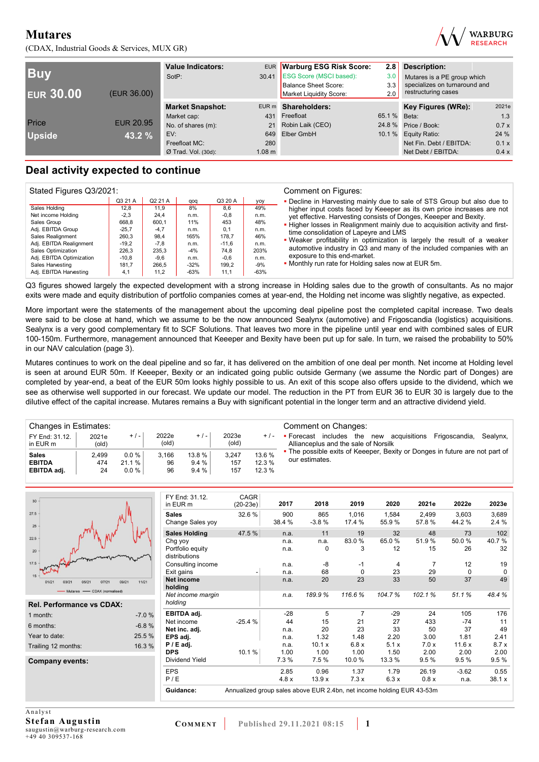(CDAX, Industrial Goods & Services, MUX GR)



| <b>Buy</b><br><b>EUR 30.00</b> | (EUR 36.00)      | <b>Value Indicators:</b><br>SotP: |                   | EUR Warburg ESG Risk Score:<br>30.41 ESG Score (MSCI based):<br>Balance Sheet Score:<br>Market Liquidity Score: | 2.8<br>3.0<br>3.3<br>2.0 | <b>Description:</b><br>Mutares is a PE group which<br>specializes on turnaround and<br>restructuring cases |       |
|--------------------------------|------------------|-----------------------------------|-------------------|-----------------------------------------------------------------------------------------------------------------|--------------------------|------------------------------------------------------------------------------------------------------------|-------|
|                                |                  | <b>Market Snapshot:</b>           |                   | EUR m Shareholders:                                                                                             |                          | Key Figures (WRe):                                                                                         | 2021e |
|                                |                  | Market cap:                       | 431               | Freefloat                                                                                                       | 65.1 % Beta:             |                                                                                                            | 1.3   |
| Price                          | <b>EUR 20.95</b> | No. of shares (m):                | 21                | Robin Laik (CEO)                                                                                                |                          | 24.8 % Price / Book:                                                                                       | 0.7x  |
| <b>Upside</b>                  | 43.2 %           | EV:                               | 649               | Elber GmbH                                                                                                      |                          | 10.1 % Equity Ratio:                                                                                       | 24 %  |
|                                |                  | Freefloat MC:                     | 280               |                                                                                                                 |                          | Net Fin. Debt / EBITDA:                                                                                    | 0.1x  |
|                                |                  | $Ø$ Trad. Vol. (30d):             | 1.08 <sub>m</sub> |                                                                                                                 |                          | Net Debt / EBITDA:                                                                                         | 0.4 x |

## **Deal activity expected to continue**

| Stated Figures Q3/2021:  |         |         |        |         | Comment on Figures: |                                                                              |  |  |  |  |
|--------------------------|---------|---------|--------|---------|---------------------|------------------------------------------------------------------------------|--|--|--|--|
|                          | Q3 21 A | Q2 21 A | qoq    | Q3 20 A | yoy                 | • Decline in Harvesting mainly due to sale of STS Group but also due to      |  |  |  |  |
| Sales Holding            | 12.8    | 11.9    | 8%     | 8.6     | 49%                 | higher input costs faced by Keeeper as its own price increases are not       |  |  |  |  |
| Net income Holding       | $-2.3$  | 24.4    | n.m.   | $-0.8$  | n.m.                | yet effective. Harvesting consists of Donges, Keeeper and Bexity.            |  |  |  |  |
| Sales Group              | 668.8   | 600.1   | 11%    | 453     | 48%                 | . Higher losses in Realignment mainly due to acquisition activity and first- |  |  |  |  |
| Adj. EBITDA Group        | $-25.7$ | $-4.7$  | n.m.   | 0.1     | n.m.                | time consolidation of Lapeyre and LMS                                        |  |  |  |  |
| Sales Realignment        | 260,3   | 98.4    | 165%   | 178.7   | 46%                 |                                                                              |  |  |  |  |
| Adj. EBITDA Realignment  | $-19.2$ | $-7.8$  | n.m.   | $-11.6$ | n.m.                | . Weaker profitability in optimization is largely the result of a weaker     |  |  |  |  |
| Sales Optimization       | 226.3   | 235.3   | $-4%$  | 74.8    | 203%                | automotive industry in Q3 and many of the included companies with an         |  |  |  |  |
| Adj. EBITDA Optimization | $-10.8$ | $-9.6$  | n.m.   | $-0.6$  | n.m.                | exposure to this end-market.                                                 |  |  |  |  |
| Sales Harvesting         | 181.7   | 266.5   | $-32%$ | 199.2   | $-9%$               | . Monthly run rate for Holding sales now at EUR 5m.                          |  |  |  |  |
| Adj. EBITDA Harvesting   | 4.1     | 11.2    | $-63%$ | 11.1    | $-63%$              |                                                                              |  |  |  |  |

Q3 figures showed largely the expected development with a strong increase in Holding sales due to the growth of consultants. As no major exits were made and equity distribution of portfolio companies comes at year-end, the Holding net income was slightly negative, as expected.

More important were the statements of the management about the upcoming deal pipeline post the completed capital increase. Two deals were said to be close at hand, which we assume to be the now announced Sealynx (automotive) and Frigoscandia (logistics) acquisitions. Sealynx is a very good complementary fit to SCF Solutions. That leaves two more in the pipeline until year end with combined sales of EUR 100-150m. Furthermore, management announced that Keeeper and Bexity have been put up for sale. In turn, we raised the probability to 50% in our NAV calculation (page 3).

Mutares continues to work on the deal pipeline and so far, it has delivered on the ambition of one deal per month. Net income at Holding level is seen at around EUR 50m. If Keeeper, Bexity or an indicated going public outside Germany (we assume the Nordic part of Donges) are completed by year-end, a beat of the EUR 50m looks highly possible to us. An exit of this scope also offers upside to the dividend, which we see as otherwise well supported in our forecast. We update our model. The reduction in the PT from EUR 36 to EUR 30 is largely due to the dilutive effect of the capital increase. Mutares remains a Buy with significant potential in the longer term and an attractive dividend yield.

| Changes in Estimates:         |                |                  |                                 |                | Comment on Changes: |                  |                                                                                                                                     |  |  |  |  |
|-------------------------------|----------------|------------------|---------------------------------|----------------|---------------------|------------------|-------------------------------------------------------------------------------------------------------------------------------------|--|--|--|--|
| FY End: 31.12.<br>in EUR m    | 2021e<br>(old) | $+/-$            | 2022e<br>$\left($ old $\right)$ | $+/-$          | 2023e<br>(old)      | $+/-$            | includes the<br>acquisitions<br>Frigoscandia.<br>$\blacksquare$ Forecast<br>Sealvnx.<br>new<br>Allianceplus and the sale of Norsilk |  |  |  |  |
| <b>Sales</b><br><b>EBITDA</b> | 2.499<br>474   | $0.0\%$<br>21.1% | 3.166<br>96                     | 13.8 %<br>9.4% | 3.247<br>157        | 13.6 %<br>12.3 % | • The possible exits of Keeeper, Bexity or Donges in future are not part of<br>our estimates.                                       |  |  |  |  |
| EBITDA adj.                   | 24             | $0.0 \%$         | 96                              | 9.4%           | 157                 | 12.3%            |                                                                                                                                     |  |  |  |  |

| 30                                       |         | FY End: 31.12.<br>in EUR m       | CAGR<br>$(20-23e)$                                                    | 2017          | 2018           | 2019            | 2020           | 2021e          | 2022e          | 2023e         |
|------------------------------------------|---------|----------------------------------|-----------------------------------------------------------------------|---------------|----------------|-----------------|----------------|----------------|----------------|---------------|
| 27.5<br>25                               |         | <b>Sales</b><br>Change Sales yoy | 32.6%                                                                 | 900<br>38.4 % | 865<br>$-3.8%$ | 1,016<br>17.4 % | 1,584<br>55.9% | 2.499<br>57.8% | 3,603<br>44.2% | 3,689<br>2.4% |
|                                          |         | <b>Sales Holding</b>             | 47.5 %                                                                | n.a.          | 11             | 19              | 32             | 48             | 73             | 102           |
| 22.5                                     |         | Chg yoy                          |                                                                       | n.a.          | n.a.           | 83.0%           | 65.0%          | 51.9%          | 50.0%          | 40.7%         |
| 20                                       |         | Portfolio equity                 |                                                                       | n.a.          | 0              | 3               | 12             | 15             | 26             | 32            |
|                                          |         | distributions                    |                                                                       |               |                |                 |                |                |                |               |
| 17.5                                     |         | Consulting income                |                                                                       | n.a.          | -8             | -1              | 4              | 7              | 12             | 19            |
| $15 -$                                   |         | Exit gains                       |                                                                       | n.a.          | 68             | $\Omega$        | 23             | 29             | $\mathbf 0$    | $\Omega$      |
| 01/21<br>07/21<br>09/21<br>03/2<br>05/21 | 11/21   | <b>Net income</b><br>holding     |                                                                       | n.a.          | 20             | 23              | 33             | 50             | 37             | 49            |
| - Mutares - CDAX (normalised)            |         | Net income margin                |                                                                       | n.a.          | 189.9%         | 116.6%          | 104.7%         | 102.1%         | 51.1%          | 48.4%         |
| <b>Rel. Performance vs CDAX:</b>         |         | holding                          |                                                                       |               |                |                 |                |                |                |               |
| 1 month:                                 | $-7.0%$ | EBITDA adj.                      |                                                                       | $-28$         | 5              | 7               | $-29$          | 24             | 105            | 176           |
| 6 months:                                | $-6.8%$ | Net income                       | $-25.4%$                                                              | 44            | 15             | 21              | 27             | 433            | $-74$          | 11            |
|                                          |         | Net inc. adj.                    |                                                                       | n.a.          | 20             | 23              | 33             | 50             | 37             | 49            |
| Year to date:                            | 25.5 %  | EPS adj.                         |                                                                       | n.a.          | 1.32           | 1.48            | 2.20           | 3.00           | 1.81           | 2.41          |
| Trailing 12 months:                      | 16.3%   | $P / E$ adj.                     |                                                                       | n.a.          | 10.1 x         | 6.8x            | 5.1x           | 7.0x           | 11.6x          | 8.7x          |
|                                          |         | <b>DPS</b>                       | 10.1%                                                                 | 1.00          | 1.00           | 1.00            | 1.50           | 2.00           | 2.00           | 2.00          |
| Company events:                          |         | Dividend Yield                   |                                                                       | 7.3%          | 7.5 %          | 10.0%           | 13.3 %         | 9.5%           | 9.5%           | 9.5%          |
|                                          |         | <b>EPS</b>                       |                                                                       | 2.85          | 0.96           | 1.37            | 1.79           | 26.19          | $-3.62$        | 0.55          |
|                                          |         | P/E                              |                                                                       | 4.8x          | 13.9x          | 7.3x            | 6.3x           | 0.8 x          | n.a.           | 38.1 x        |
|                                          |         | Guidance:                        | Annualized group sales above EUR 2.4bn, net income holding EUR 43-53m |               |                |                 |                |                |                |               |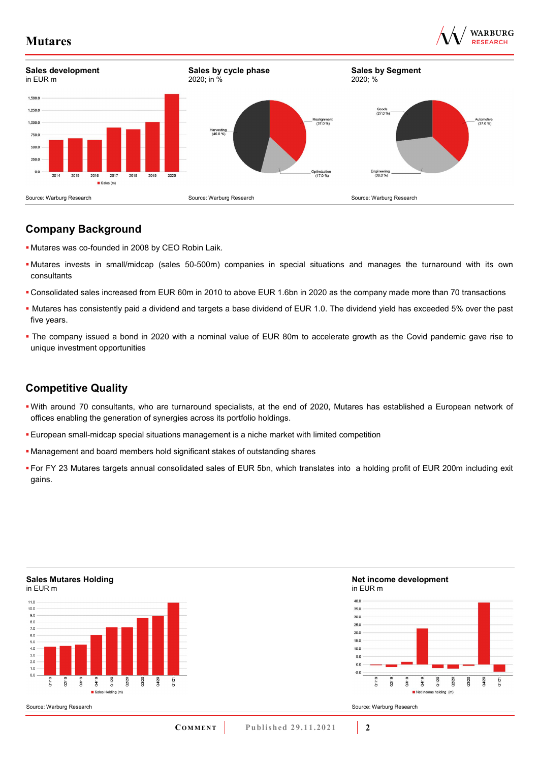



## **Company Background**

- Mutares was co-founded in 2008 by CEO Robin Laik.
- Mutares invests in small/midcap (sales 50-500m) companies in special situations and manages the turnaround with its own consultants
- Consolidated sales increased from EUR 60m in 2010 to above EUR 1.6bn in 2020 as the company made more than 70 transactions
- Mutares has consistently paid a dividend and targets a base dividend of EUR 1.0. The dividend yield has exceeded 5% over the past five years.
- The company issued a bond in 2020 with a nominal value of EUR 80m to accelerate growth as the Covid pandemic gave rise to unique investment opportunities

## **Competitive Quality**

- With around 70 consultants, who are turnaround specialists, at the end of 2020, Mutares has established a European network of offices enabling the generation of synergies across its portfolio holdings.
- European small-midcap special situations management is a niche market with limited competition
- Management and board members hold significant stakes of outstanding shares
- For FY 23 Mutares targets annual consolidated sales of EUR 5bn, which translates into a holding profit of EUR 200m including exit gains.

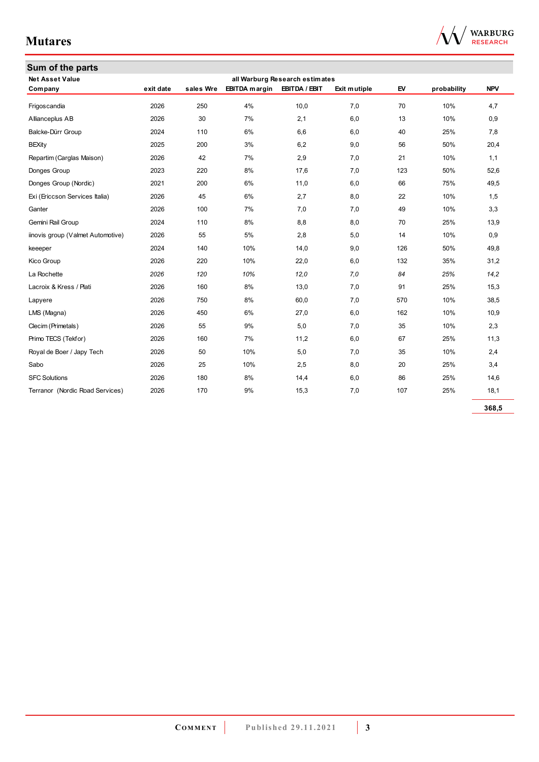| <b>Net Asset Value</b>            |           |           |                      | all Warburg Research estimates |              |     |             |            |
|-----------------------------------|-----------|-----------|----------------------|--------------------------------|--------------|-----|-------------|------------|
| Company                           | exit date | sales Wre | <b>EBITDA</b> margin | EBITDA / EBIT                  | Exit mutiple | EV  | probability | <b>NPV</b> |
| Frigoscandia                      | 2026      | 250       | 4%                   | 10,0                           | 7,0          | 70  | 10%         | 4,7        |
| Allianceplus AB                   | 2026      | 30        | 7%                   | 2,1                            | 6,0          | 13  | 10%         | 0,9        |
| Balcke-Dürr Group                 | 2024      | 110       | 6%                   | 6,6                            | 6,0          | 40  | 25%         | 7,8        |
| <b>BEXity</b>                     | 2025      | 200       | 3%                   | 6,2                            | 9,0          | 56  | 50%         | 20,4       |
| Repartim (Carglas Maison)         | 2026      | 42        | 7%                   | 2,9                            | 7,0          | 21  | 10%         | 1,1        |
| Donges Group                      | 2023      | 220       | 8%                   | 17,6                           | 7,0          | 123 | 50%         | 52,6       |
| Donges Group (Nordic)             | 2021      | 200       | 6%                   | 11,0                           | 6,0          | 66  | 75%         | 49,5       |
| Exi (Ericcson Services Italia)    | 2026      | 45        | 6%                   | 2,7                            | 8,0          | 22  | 10%         | 1,5        |
| Ganter                            | 2026      | 100       | 7%                   | 7,0                            | 7,0          | 49  | 10%         | 3,3        |
| Gemini Rail Group                 | 2024      | 110       | 8%                   | 8,8                            | 8,0          | 70  | 25%         | 13,9       |
| iinovis group (Valmet Automotive) | 2026      | 55        | 5%                   | 2,8                            | 5,0          | 14  | 10%         | 0,9        |
| keeeper                           | 2024      | 140       | 10%                  | 14,0                           | 9,0          | 126 | 50%         | 49,8       |
| Kico Group                        | 2026      | 220       | 10%                  | 22,0                           | 6,0          | 132 | 35%         | 31,2       |
| La Rochette                       | 2026      | 120       | 10%                  | 12,0                           | 7,0          | 84  | 25%         | 14,2       |
| Lacroix & Kress / Plati           | 2026      | 160       | 8%                   | 13,0                           | 7,0          | 91  | 25%         | 15,3       |
| Lapyere                           | 2026      | 750       | 8%                   | 60,0                           | 7,0          | 570 | 10%         | 38,5       |
| LMS (Magna)                       | 2026      | 450       | 6%                   | 27,0                           | 6,0          | 162 | 10%         | 10,9       |
| Clecim (Primetals)                | 2026      | 55        | 9%                   | 5,0                            | 7,0          | 35  | 10%         | 2,3        |
| Primo TECS (Tekfor)               | 2026      | 160       | 7%                   | 11,2                           | 6,0          | 67  | 25%         | 11,3       |
| Royal de Boer / Japy Tech         | 2026      | 50        | 10%                  | 5,0                            | 7,0          | 35  | 10%         | 2,4        |
| Sabo                              | 2026      | 25        | 10%                  | 2,5                            | 8,0          | 20  | 25%         | 3,4        |
| <b>SFC Solutions</b>              | 2026      | 180       | 8%                   | 14,4                           | 6,0          | 86  | 25%         | 14,6       |
| Terranor (Nordic Road Services)   | 2026      | 170       | 9%                   | 15,3                           | 7,0          | 107 | 25%         | 18,1       |

**368,5**

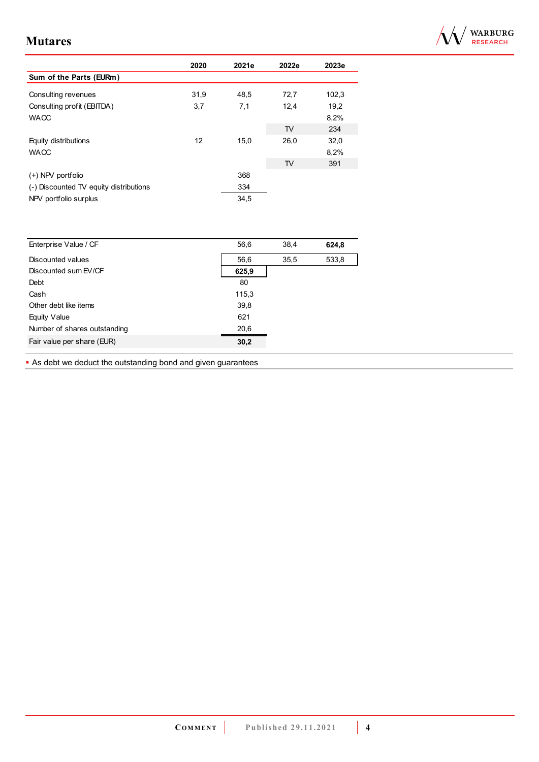

|                                        | 2020 | 2021e | 2022e          | 2023e |
|----------------------------------------|------|-------|----------------|-------|
| Sum of the Parts (EURm)                |      |       |                |       |
| Consulting revenues                    | 31,9 | 48,5  | 72,7           | 102,3 |
| Consulting profit (EBITDA)             | 3,7  | 7,1   | 12,4           | 19,2  |
| <b>WACC</b>                            |      |       |                | 8,2%  |
|                                        |      |       | T <sub>V</sub> | 234   |
| Equity distributions                   | 12   | 15,0  | 26,0           | 32,0  |
| <b>WACC</b>                            |      |       |                | 8,2%  |
|                                        |      |       | TV             | 391   |
| $(+)$ NPV portfolio                    |      | 368   |                |       |
| (-) Discounted TV equity distributions |      | 334   |                |       |
| NPV portfolio surplus                  |      | 34,5  |                |       |

| Enterprise Value / CF        | 56,6  | 38,4 | 624,8 |
|------------------------------|-------|------|-------|
| Discounted values            | 56,6  | 35,5 | 533,8 |
| Discounted sum EV/CF         | 625,9 |      |       |
| Debt                         | 80    |      |       |
| Cash                         | 115,3 |      |       |
| Other debt like items        | 39,8  |      |       |
| Equity Value                 | 621   |      |       |
| Number of shares outstanding | 20,6  |      |       |
| Fair value per share (EUR)   | 30,2  |      |       |
|                              |       |      |       |

**As debt we deduct the outstanding bond and given guarantees**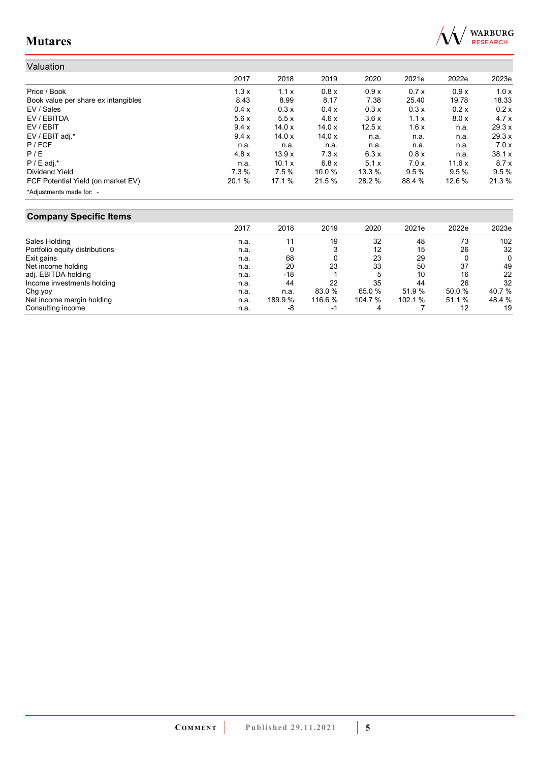

| Valuation                           |        |        |        |          |        |        |        |
|-------------------------------------|--------|--------|--------|----------|--------|--------|--------|
|                                     | 2017   | 2018   | 2019   | 2020     | 2021e  | 2022e  | 2023e  |
| Price / Book                        | 1.3x   | 1.1x   | 0.8x   | 0.9x     | 0.7x   | 0.9x   | 1.0x   |
| Book value per share ex intangibles | 8.43   | 8.99   | 8.17   | 7.38     | 25.40  | 19.78  | 18.33  |
| EV / Sales                          | 0.4 x  | 0.3x   | 0.4 x  | 0.3x     | 0.3x   | 0.2x   | 0.2x   |
| EV / EBITDA                         | 5.6x   | 5.5x   | 4.6x   | 3.6x     | 1.1x   | 8.0 x  | 4.7x   |
| EV / EBIT                           | 9.4x   | 14.0x  | 14.0x  | 12.5x    | 1.6x   | n.a.   | 29.3 x |
| EV / EBIT adj.*                     | 9.4x   | 14.0x  | 14.0x  | n.a.     | n.a.   | n.a.   | 29.3 x |
| $P$ / FCF                           | n.a.   | n.a.   | n.a.   | n.a.     | n.a.   | n.a.   | 7.0x   |
| P/E                                 | 4.8x   | 13.9x  | 7.3x   | 6.3x     | 0.8 x  | n.a.   | 38.1 x |
| $P / E$ adj.*                       | n.a.   | 10.1 x | 6.8x   | 5.1x     | 7.0x   | 11.6 x | 8.7x   |
| Dividend Yield                      | 7.3 %  | 7.5%   | 10.0%  | $13.3\%$ | 9.5%   | 9.5%   | 9.5%   |
| FCF Potential Yield (on market EV)  | 20.1 % | 17.1 % | 21.5 % | 28.2 %   | 88.4 % | 12.6 % | 21.3 % |
| *Adjustments made for: -            |        |        |        |          |        |        |        |

## **Company Specific Items**

|                                | 2017 | 2018    | 2019                     | 2020    | 2021e  | 2022e  | 2023e  |
|--------------------------------|------|---------|--------------------------|---------|--------|--------|--------|
| Sales Holding                  | n.a. | 11      | 19                       | 32      | 48     | 73     | 102    |
| Portfolio equity distributions | n.a. |         |                          | 12      | 15     | 26     | 32     |
| Exit gains                     | n.a. | 68      |                          | 23      | 29     |        | 0      |
| Net income holding             | n.a. | 20      | 23                       | 33      | 50     | 37     | 49     |
| adj. EBITDA holding            | n.a. | $-18$   |                          | 5       | 10     | 16     | 22     |
| Income investments holding     | n.a. | 44      | 22                       | 35      | 44     | 26     | 32     |
| Chg yoy                        | n.a. | n.a.    | 83.0 %                   | 65.0%   | 51.9%  | 50.0%  | 40.7 % |
| Net income margin holding      | n.a. | 189.9 % | 116.6%                   | 104.7 % | 102.1% | 51.1 % | 48.4 % |
| Consulting income              | n.a. | -8      | $\overline{\phantom{a}}$ | 4       |        | 12     | 19     |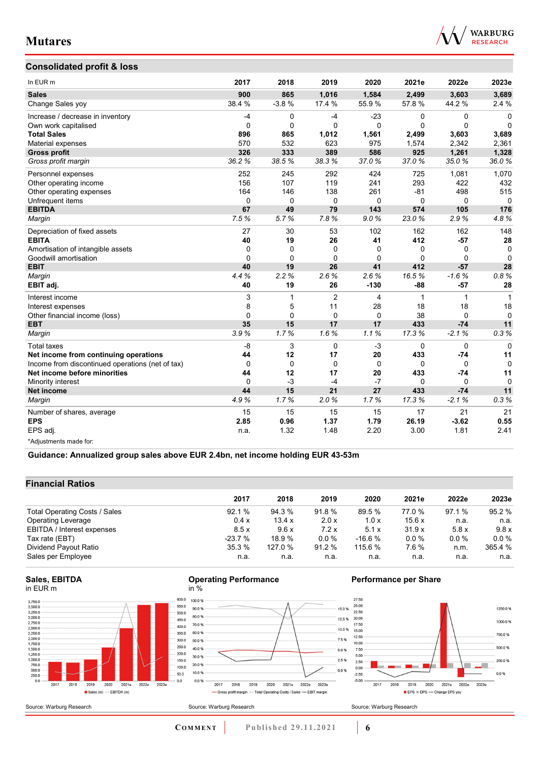

### **Consolidated profit & loss**

| In EUR m                                         | 2017     | 2018        | 2019           | 2020         | 2021e        | 2022e        | 2023e        |
|--------------------------------------------------|----------|-------------|----------------|--------------|--------------|--------------|--------------|
| <b>Sales</b>                                     | 900      | 865         | 1,016          | 1,584        | 2,499        | 3,603        | 3,689        |
| Change Sales yoy                                 | 38.4 %   | $-3.8%$     | 17.4 %         | 55.9%        | 57.8 %       | 44.2%        | 2.4%         |
| Increase / decrease in inventory                 | $-4$     | 0           | $-4$           | $-23$        | 0            | 0            | $\Omega$     |
| Own work capitalised                             | $\Omega$ | $\Omega$    | $\Omega$       | $\mathbf{0}$ | $\mathbf{0}$ | $\mathbf 0$  | $\mathbf{0}$ |
| <b>Total Sales</b>                               | 896      | 865         | 1.012          | 1,561        | 2.499        | 3,603        | 3,689        |
| Material expenses                                | 570      | 532         | 623            | 975          | 1,574        | 2,342        | 2,361        |
| <b>Gross profit</b>                              | 326      | 333         | 389            | 586          | 925          | 1,261        | 1,328        |
| Gross profit margin                              | 36.2%    | 38.5%       | 38.3%          | 37.0%        | 37.0%        | 35.0%        | 36.0%        |
| Personnel expenses                               | 252      | 245         | 292            | 424          | 725          | 1.081        | 1,070        |
| Other operating income                           | 156      | 107         | 119            | 241          | 293          | 422          | 432          |
| Other operating expenses                         | 164      | 146         | 138            | 261          | $-81$        | 498          | 515          |
| Unfrequent items                                 | 0        | $\mathbf 0$ | $\mathbf 0$    | $\mathbf 0$  | 0            | 0            | $\mathbf{0}$ |
| <b>EBITDA</b>                                    | 67       | 49          | 79             | 143          | 574          | 105          | 176          |
| Margin                                           | 7.5%     | 5.7%        | 7.8%           | 9.0%         | 23.0%        | 2.9%         | 4.8%         |
| Depreciation of fixed assets                     | 27       | 30          | 53             | 102          | 162          | 162          | 148          |
| <b>EBITA</b>                                     | 40       | 19          | 26             | 41           | 412          | $-57$        | 28           |
| Amortisation of intangible assets                | 0        | $\Omega$    | 0              | $\Omega$     | 0            | 0            | 0            |
| Goodwill amortisation                            | $\Omega$ | $\Omega$    | $\Omega$       | $\Omega$     | $\Omega$     | $\Omega$     | $\mathbf{0}$ |
| <b>EBIT</b>                                      | 40       | 19          | 26             | 41           | 412          | $-57$        | 28           |
| Margin                                           | 4.4%     | 2.2%        | 2.6%           | 2.6%         | 16.5%        | $-1.6%$      | 0.8%         |
| EBIT adj.                                        | 40       | 19          | 26             | $-130$       | $-88$        | $-57$        | 28           |
| Interest income                                  | 3        | 1           | $\overline{2}$ | 4            | 1            | $\mathbf{1}$ | 1            |
| Interest expenses                                | 8        | 5           | 11             | 28           | 18           | 18           | 18           |
| Other financial income (loss)                    | 0        | $\Omega$    | $\Omega$       | $\Omega$     | 38           | $\Omega$     | $\Omega$     |
| <b>EBT</b>                                       | 35       | 15          | 17             | 17           | 433          | $-74$        | 11           |
| Margin                                           | 3.9%     | 1.7%        | 1.6%           | 1.1%         | 17.3%        | $-2.1%$      | 0.3%         |
| <b>Total taxes</b>                               | $-8$     | 3           | $\Omega$       | $-3$         | $\Omega$     | $\Omega$     | $\Omega$     |
| Net income from continuing operations            | 44       | 12          | 17             | 20           | 433          | $-74$        | 11           |
| Income from discontinued operations (net of tax) | 0        | $\Omega$    | $\mathbf 0$    | $\mathbf 0$  | 0            | $\mathbf 0$  | $\Omega$     |
| Net income before minorities                     | 44       | 12          | 17             | 20           | 433          | -74          | 11           |
| Minority interest                                | $\Omega$ | $-3$        | $-4$           | $-7$         | 0            | $\Omega$     | $\Omega$     |
| Net income                                       | 44       | 15          | 21             | 27           | 433          | $-74$        | 11           |
| Margin                                           | 4.9%     | 1.7%        | 2.0%           | 1.7%         | 17.3%        | $-2.1%$      | 0.3%         |
| Number of shares, average                        | 15       | 15          | 15             | 15           | 17           | 21           | 21           |
| <b>EPS</b>                                       | 2.85     | 0.96        | 1.37           | 1.79         | 26.19        | $-3.62$      | 0.55         |
| EPS adj.                                         | n.a.     | 1.32        | 1.48           | 2.20         | 3.00         | 1.81         | 2.41         |
| *Adjustments made for:                           |          |             |                |              |              |              |              |

**Guidance: Annualized group sales above EUR 2.4bn, net income holding EUR 43-53m**

### **Financial Ratios**

|                               | 2017     | 2018    | 2019    | 2020     | 2021e  | 2022e   | 2023e   |
|-------------------------------|----------|---------|---------|----------|--------|---------|---------|
| Total Operating Costs / Sales | 92.1%    | 94.3 %  | 91.8 %  | 89.5 %   | 77.0 % | 97.1 %  | 95.2 %  |
| <b>Operating Leverage</b>     | 0.4x     | 13.4 x  | 2.0 x   | 1.0x     | 15.6x  | n.a.    | n.a.    |
| EBITDA / Interest expenses    | 8.5x     | 9.6x    | 7.2x    | 5.1x     | 31.9x  | 5.8x    | 9.8x    |
| Tax rate (EBT)                | $-23.7%$ | 18.9%   | $0.0\%$ | $-16.6%$ | 0.0%   | $0.0\%$ | $0.0\%$ |
| Dividend Payout Ratio         | 35.3%    | 127.0 % | 91.2%   | 115.6 %  | 7.6%   | n.m.    | 365.4 % |
| Sales per Employee            | n.a.     | n.a.    | n.a.    | n.a.     | n.a.   | n.a.    | n.a.    |

#### **Sales, EBITDA** in EUR m

Source: Warburg Research



#### **Operating Performance** in %



### **Performance per Share**



**COMMENT** Published 29.11.2021 **6**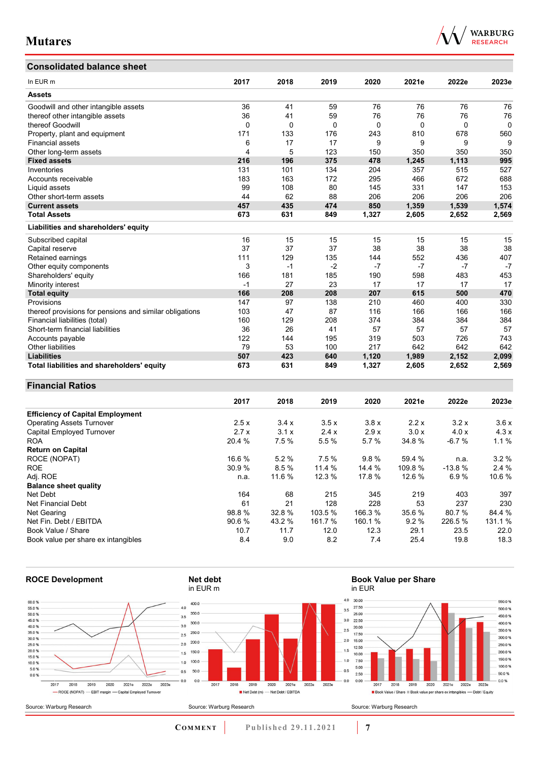## **Consolidated balance sheet**

| In EUR <sub>m</sub>                                     | 2017 | 2018 | 2019     | 2020     | 2021e | 2022e | 2023e    |
|---------------------------------------------------------|------|------|----------|----------|-------|-------|----------|
| <b>Assets</b>                                           |      |      |          |          |       |       |          |
| Goodwill and other intangible assets                    | 36   | 41   | 59       | 76       | 76    | 76    | 76       |
| thereof other intangible assets                         | 36   | 41   | 59       | 76       | 76    | 76    | 76       |
| thereof Goodwill                                        | 0    | 0    | $\Omega$ | $\Omega$ | 0     | 0     | $\Omega$ |
| Property, plant and equipment                           | 171  | 133  | 176      | 243      | 810   | 678   | 560      |
| <b>Financial assets</b>                                 | 6    | 17   | 17       | 9        | 9     | 9     | 9        |
| Other long-term assets                                  | 4    | 5    | 123      | 150      | 350   | 350   | 350      |
| <b>Fixed assets</b>                                     | 216  | 196  | 375      | 478      | 1,245 | 1.113 | 995      |
| Inventories                                             | 131  | 101  | 134      | 204      | 357   | 515   | 527      |
| Accounts receivable                                     | 183  | 163  | 172      | 295      | 466   | 672   | 688      |
| Liquid assets                                           | 99   | 108  | 80       | 145      | 331   | 147   | 153      |
| Other short-term assets                                 | 44   | 62   | 88       | 206      | 206   | 206   | 206      |
| <b>Current assets</b>                                   | 457  | 435  | 474      | 850      | 1,359 | 1,539 | 1,574    |
| <b>Total Assets</b>                                     | 673  | 631  | 849      | 1,327    | 2,605 | 2,652 | 2,569    |
| Liabilities and shareholders' equity                    |      |      |          |          |       |       |          |
| Subscribed capital                                      | 16   | 15   | 15       | 15       | 15    | 15    | 15       |
| Capital reserve                                         | 37   | 37   | 37       | 38       | 38    | 38    | 38       |
| Retained earnings                                       | 111  | 129  | 135      | 144      | 552   | 436   | 407      |
| Other equity components                                 | 3    | $-1$ | $-2$     | $-7$     | $-7$  | $-7$  | $-7$     |
| Shareholders' equity                                    | 166  | 181  | 185      | 190      | 598   | 483   | 453      |
| Minority interest                                       | $-1$ | 27   | 23       | 17       | 17    | 17    | 17       |
| <b>Total equity</b>                                     | 166  | 208  | 208      | 207      | 615   | 500   | 470      |
| Provisions                                              | 147  | 97   | 138      | 210      | 460   | 400   | 330      |
| thereof provisions for pensions and similar obligations | 103  | 47   | 87       | 116      | 166   | 166   | 166      |
| Financial liabilities (total)                           | 160  | 129  | 208      | 374      | 384   | 384   | 384      |
| Short-term financial liabilities                        | 36   | 26   | 41       | 57       | 57    | 57    | 57       |
| Accounts payable                                        | 122  | 144  | 195      | 319      | 503   | 726   | 743      |
| <b>Other liabilities</b>                                | 79   | 53   | 100      | 217      | 642   | 642   | 642      |
| <b>Liabilities</b>                                      | 507  | 423  | 640      | 1,120    | 1,989 | 2,152 | 2,099    |
| Total liabilities and shareholders' equity              | 673  | 631  | 849      | 1,327    | 2,605 | 2,652 | 2,569    |

### **Financial Ratios**

|                                         | 2017   | 2018   | 2019    | 2020    | 2021e   | 2022e    | 2023e   |
|-----------------------------------------|--------|--------|---------|---------|---------|----------|---------|
| <b>Efficiency of Capital Employment</b> |        |        |         |         |         |          |         |
| <b>Operating Assets Turnover</b>        | 2.5x   | 3.4x   | 3.5x    | 3.8x    | 2.2x    | 3.2x     | 3.6x    |
| Capital Employed Turnover               | 2.7x   | 3.1x   | 2.4x    | 2.9x    | 3.0x    | 4.0x     | 4.3x    |
| <b>ROA</b>                              | 20.4 % | 7.5%   | 5.5 %   | 5.7%    | 34.8%   | $-6.7%$  | 1.1%    |
| <b>Return on Capital</b>                |        |        |         |         |         |          |         |
| ROCE (NOPAT)                            | 16.6 % | 5.2%   | 7.5 %   | 9.8%    | 59.4 %  | n.a.     | 3.2%    |
| <b>ROE</b>                              | 30.9%  | 8.5%   | 11.4 %  | 14.4 %  | 109.8 % | $-13.8%$ | 2.4%    |
| Adj. ROE                                | n.a.   | 11.6 % | 12.3 %  | 17.8 %  | 12.6 %  | 6.9%     | 10.6 %  |
| <b>Balance sheet quality</b>            |        |        |         |         |         |          |         |
| Net Debt                                | 164    | 68     | 215     | 345     | 219     | 403      | 397     |
| Net Financial Debt                      | 61     | 21     | 128     | 228     | 53      | 237      | 230     |
| Net Gearing                             | 98.8%  | 32.8%  | 103.5 % | 166.3 % | 35.6 %  | 80.7%    | 84.4 %  |
| Net Fin. Debt / EBITDA                  | 90.6 % | 43.2 % | 161.7 % | 160.1 % | 9.2%    | 226.5 %  | 131.1 % |
| Book Value / Share                      | 10.7   | 11.7   | 12.0    | 12.3    | 29.1    | 23.5     | 22.0    |
| Book value per share ex intangibles     | 8.4    | 9.0    | 8.2     | 7.4     | 25.4    | 19.8     | 18.3    |



**COMMENT** Published 29.11.2021 **7** 

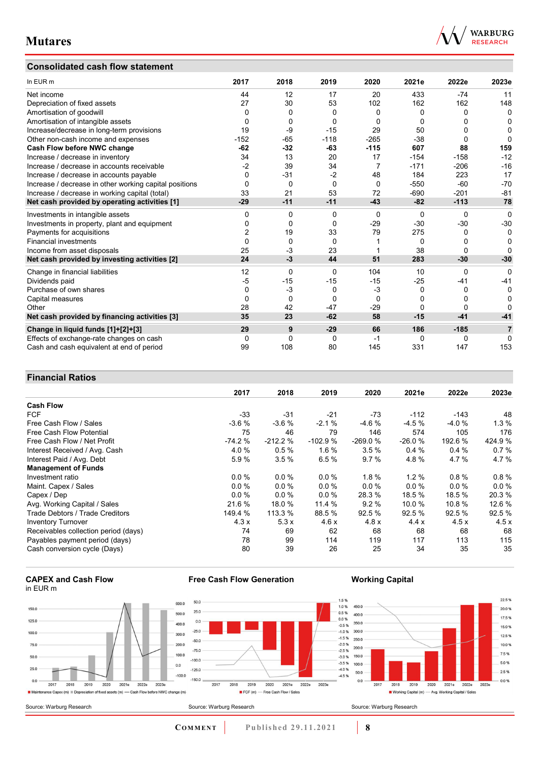### **Consolidated cash flow statement**



| In EUR m                                               | 2017     | 2018     | 2019     | 2020           | 2021e        | 2022e    | 2023e          |
|--------------------------------------------------------|----------|----------|----------|----------------|--------------|----------|----------------|
| Net income                                             | 44       | 12       | 17       | 20             | 433          | $-74$    | 11             |
| Depreciation of fixed assets                           | 27       | 30       | 53       | 102            | 162          | 162      | 148            |
| Amortisation of goodwill                               | 0        | 0        | 0        | 0              | 0            | 0        | 0              |
| Amortisation of intangible assets                      | 0        | 0        | $\Omega$ | 0              | $\Omega$     | ŋ        | 0              |
| Increase/decrease in long-term provisions              | 19       | -9       | $-15$    | 29             | 50           | 0        | 0              |
| Other non-cash income and expenses                     | $-152$   | $-65$    | $-118$   | $-265$         | $-38$        | 0        | 0              |
| Cash Flow before NWC change                            | $-62$    | $-32$    | $-63$    | $-115$         | 607          | 88       | 159            |
| Increase / decrease in inventory                       | 34       | 13       | 20       | 17             | $-154$       | $-158$   | $-12$          |
| Increase / decrease in accounts receivable             | $-2$     | 39       | 34       | $\overline{7}$ | $-171$       | $-206$   | $-16$          |
| Increase / decrease in accounts payable                | 0        | $-31$    | $-2$     | 48             | 184          | 223      | 17             |
| Increase / decrease in other working capital positions | 0        | 0        | $\Omega$ | $\Omega$       | $-550$       | $-60$    | $-70$          |
| Increase / decrease in working capital (total)         | 33       | 21       | 53       | 72             | $-690$       | $-201$   | $-81$          |
| Net cash provided by operating activities [1]          | $-29$    | $-11$    | $-11$    | $-43$          | $-82$        | $-113$   | 78             |
| Investments in intangible assets                       | 0        | 0        | $\Omega$ | $\Omega$       | $\Omega$     | 0        | $\mathbf{0}$   |
| Investments in property, plant and equipment           | 0        | 0        | $\Omega$ | $-29$          | $-30$        | $-30$    | $-30$          |
| Payments for acquisitions                              | 2        | 19       | 33       | 79             | 275          | 0        | 0              |
| <b>Financial investments</b>                           | $\Omega$ | $\Omega$ | $\Omega$ |                | $\Omega$     | 0        | 0              |
| Income from asset disposals                            | 25       | -3       | 23       |                | 38           | $\Omega$ | O              |
| Net cash provided by investing activities [2]          | 24       | $-3$     | 44       | 51             | 283          | $-30$    | $-30$          |
| Change in financial liabilities                        | 12       | 0        | $\Omega$ | 104            | 10           | $\Omega$ | $\Omega$       |
| Dividends paid                                         | $-5$     | $-15$    | $-15$    | $-15$          | $-25$        | -41      | $-41$          |
| Purchase of own shares                                 | 0        | $-3$     | 0        | $-3$           | 0            | 0        | 0              |
| Capital measures                                       | $\Omega$ | 0        | $\Omega$ | $\Omega$       | 0            | 0        | 0              |
| Other                                                  | 28       | 42       | $-47$    | $-29$          | $\mathbf{0}$ | 0        | O              |
| Net cash provided by financing activities [3]          | 35       | 23       | $-62$    | 58             | $-15$        | $-41$    | $-41$          |
| Change in liquid funds [1]+[2]+[3]                     | 29       | 9        | $-29$    | 66             | 186          | $-185$   | $\overline{7}$ |
| Effects of exchange-rate changes on cash               | 0        | 0        | 0        | -1             | 0            | 0        | 0              |
| Cash and cash equivalent at end of period              | 99       | 108      | 80       | 145            | 331          | 147      | 153            |

### **Financial Ratios**

|                                      | 2017     | 2018      | 2019      | 2020      | 2021e    | 2022e    | 2023e  |
|--------------------------------------|----------|-----------|-----------|-----------|----------|----------|--------|
| <b>Cash Flow</b>                     |          |           |           |           |          |          |        |
| <b>FCF</b>                           | $-33$    | $-31$     | $-21$     | $-73$     | $-112$   | $-143$   | 48     |
| Free Cash Flow / Sales               | $-3.6%$  | $-3.6%$   | $-2.1%$   | $-4.6%$   | $-4.5%$  | $-4.0%$  | 1.3%   |
| <b>Free Cash Flow Potential</b>      | 75       | 46        | 79        | 146       | 574      | 105      | 176    |
| Free Cash Flow / Net Profit          | $-74.2%$ | $-212.2%$ | $-102.9%$ | $-269.0%$ | $-26.0%$ | 192.6 %  | 424.9% |
| Interest Received / Avg. Cash        | 4.0%     | 0.5%      | 1.6%      | 3.5%      | 0.4%     | 0.4%     | 0.7%   |
| Interest Paid / Avg. Debt            | 5.9%     | 3.5%      | 6.5%      | 9.7%      | 4.8%     | 4.7%     | 4.7%   |
| <b>Management of Funds</b>           |          |           |           |           |          |          |        |
| Investment ratio                     | $0.0\%$  | $0.0\%$   | $0.0\%$   | $1.8 \%$  | $1.2 \%$ | 0.8%     | 0.8%   |
| Maint. Capex / Sales                 | 0.0%     | $0.0\%$   | $0.0 \%$  | 0.0%      | $0.0 \%$ | $0.0 \%$ | 0.0%   |
| Capex / Dep                          | $0.0\%$  | $0.0\%$   | 0.0%      | 28.3 %    | 18.5 %   | 18.5%    | 20.3%  |
| Avg. Working Capital / Sales         | 21.6 %   | 18.0 %    | 11.4 %    | 9.2%      | 10.0 %   | 10.8%    | 12.6 % |
| Trade Debtors / Trade Creditors      | 149.4 %  | 113.3 %   | 88.5 %    | 92.5 %    | 92.5 %   | 92.5 %   | 92.5 % |
| <b>Inventory Turnover</b>            | 4.3x     | 5.3x      | 4.6x      | 4.8x      | 4.4x     | 4.5x     | 4.5x   |
| Receivables collection period (days) | 74       | 69        | 62        | 68        | 68       | 68       | 68     |
| Payables payment period (days)       | 78       | 99        | 114       | 119       | 117      | 113      | 115    |
| Cash conversion cycle (Days)         | 80       | 39        | 26        | 25        | 34       | 35       | 35     |

#### **CAPEX and Cash Flow** in EUR m





 $\frac{1}{2019}$ 

FCF (m) - Free Cash Flow / Sales

2018

### **Working Capital**



**COMMENT** Published 29.11.2021 **8** 

2020 2021e 2022e 2023e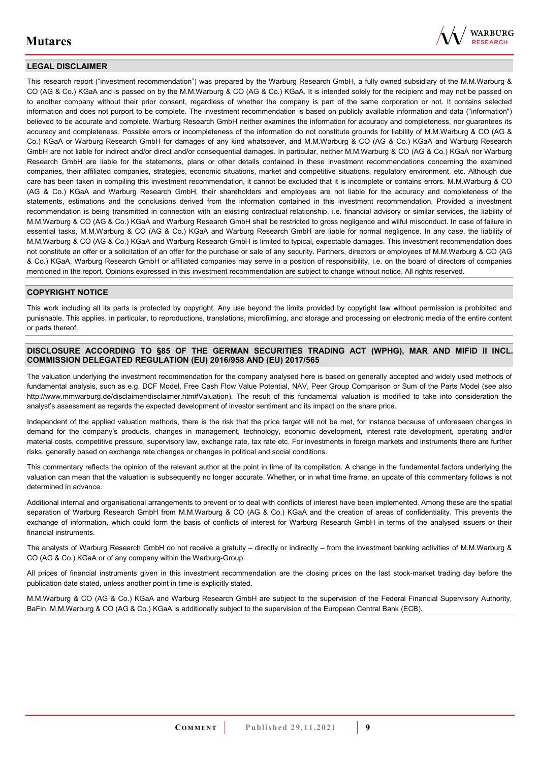

### **LEGAL DISCLAIMER**

This research report ("investment recommendation") was prepared by the Warburg Research GmbH, a fully owned subsidiary of the M.M.Warburg & CO (AG & Co.) KGaA and is passed on by the M.M.Warburg & CO (AG & Co.) KGaA. It is intended solely for the recipient and may not be passed on to another company without their prior consent, regardless of whether the company is part of the same corporation or not. It contains selected information and does not purport to be complete. The investment recommendation is based on publicly available information and data ("information") believed to be accurate and complete. Warburg Research GmbH neither examines the information for accuracy and completeness, nor guarantees its accuracy and completeness. Possible errors or incompleteness of the information do not constitute grounds for liability of M.M.Warburg & CO (AG & Co.) KGaA or Warburg Research GmbH for damages of any kind whatsoever, and M.M.Warburg & CO (AG & Co.) KGaA and Warburg Research GmbH are not liable for indirect and/or direct and/or consequential damages. In particular, neither M.M.Warburg & CO (AG & Co.) KGaA nor Warburg Research GmbH are liable for the statements, plans or other details contained in these investment recommendations concerning the examined companies, their affiliated companies, strategies, economic situations, market and competitive situations, regulatory environment, etc. Although due care has been taken in compiling this investment recommendation, it cannot be excluded that it is incomplete or contains errors. M.M.Warburg & CO (AG & Co.) KGaA and Warburg Research GmbH, their shareholders and employees are not liable for the accuracy and completeness of the statements, estimations and the conclusions derived from the information contained in this investment recommendation. Provided a investment recommendation is being transmitted in connection with an existing contractual relationship, i.e. financial advisory or similar services, the liability of M.M.Warburg & CO (AG & Co.) KGaA and Warburg Research GmbH shall be restricted to gross negligence and wilful misconduct. In case of failure in essential tasks, M.M.Warburg & CO (AG & Co.) KGaA and Warburg Research GmbH are liable for normal negligence. In any case, the liability of M.M.Warburg & CO (AG & Co.) KGaA and Warburg Research GmbH is limited to typical, expectable damages. This investment recommendation does not constitute an offer or a solicitation of an offer for the purchase or sale of any security. Partners, directors or employees of M.M.Warburg & CO (AG & Co.) KGaA, Warburg Research GmbH or affiliated companies may serve in a position of responsibility, i.e. on the board of directors of companies mentioned in the report. Opinions expressed in this investment recommendation are subject to change without notice. All rights reserved.

#### **COPYRIGHT NOTICE**

This work including all its parts is protected by copyright. Any use beyond the limits provided by copyright law without permission is prohibited and punishable. This applies, in particular, to reproductions, translations, microfilming, and storage and processing on electronic media of the entire content or parts thereof.

#### **DISCLOSURE ACCORDING TO §85 OF THE GERMAN SECURITIES TRADING ACT (WPHG), MAR AND MIFID II INCL. COMMISSION DELEGATED REGULATION (EU) 2016/958 AND (EU) 2017/565**

The valuation underlying the investment recommendation for the company analysed here is based on generally accepted and widely used methods of fundamental analysis, such as e.g. DCF Model, Free Cash Flow Value Potential, NAV, Peer Group Comparison or Sum of the Parts Model (see also [http://www.mmwarburg.de/disclaimer/disclaimer.htm#Valuation\)](http://www.mmwarburg.de/disclaimer/disclaimer.htm#Valuation). The result of this fundamental valuation is modified to take into consideration the analyst's assessment as regards the expected development of investor sentiment and its impact on the share price.

Independent of the applied valuation methods, there is the risk that the price target will not be met, for instance because of unforeseen changes in demand for the company's products, changes in management, technology, economic development, interest rate development, operating and/or material costs, competitive pressure, supervisory law, exchange rate, tax rate etc. For investments in foreign markets and instruments there are further risks, generally based on exchange rate changes or changes in political and social conditions.

This commentary reflects the opinion of the relevant author at the point in time of its compilation. A change in the fundamental factors underlying the valuation can mean that the valuation is subsequently no longer accurate. Whether, or in what time frame, an update of this commentary follows is not determined in advance.

Additional internal and organisational arrangements to prevent or to deal with conflicts of interest have been implemented. Among these are the spatial separation of Warburg Research GmbH from M.M.Warburg & CO (AG & Co.) KGaA and the creation of areas of confidentiality. This prevents the exchange of information, which could form the basis of conflicts of interest for Warburg Research GmbH in terms of the analysed issuers or their financial instruments.

The analysts of Warburg Research GmbH do not receive a gratuity – directly or indirectly – from the investment banking activities of M.M.Warburg & CO (AG & Co.) KGaA or of any company within the Warburg-Group.

All prices of financial instruments given in this investment recommendation are the closing prices on the last stock-market trading day before the publication date stated, unless another point in time is explicitly stated.

M.M.Warburg & CO (AG & Co.) KGaA and Warburg Research GmbH are subject to the supervision of the Federal Financial Supervisory Authority, BaFin. M.M.Warburg & CO (AG & Co.) KGaA is additionally subject to the supervision of the European Central Bank (ECB).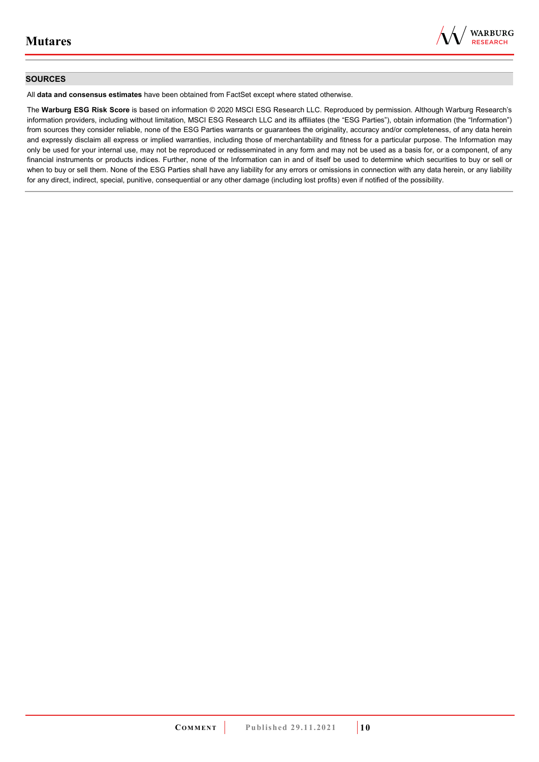

#### **SOURCES**

All **data and consensus estimates** have been obtained from FactSet except where stated otherwise.

The **Warburg ESG Risk Score** is based on information © 2020 MSCI ESG Research LLC. Reproduced by permission. Although Warburg Research's information providers, including without limitation, MSCI ESG Research LLC and its affiliates (the "ESG Parties"), obtain information (the "Information") from sources they consider reliable, none of the ESG Parties warrants or guarantees the originality, accuracy and/or completeness, of any data herein and expressly disclaim all express or implied warranties, including those of merchantability and fitness for a particular purpose. The Information may only be used for your internal use, may not be reproduced or redisseminated in any form and may not be used as a basis for, or a component, of any financial instruments or products indices. Further, none of the Information can in and of itself be used to determine which securities to buy or sell or when to buy or sell them. None of the ESG Parties shall have any liability for any errors or omissions in connection with any data herein, or any liability for any direct, indirect, special, punitive, consequential or any other damage (including lost profits) even if notified of the possibility.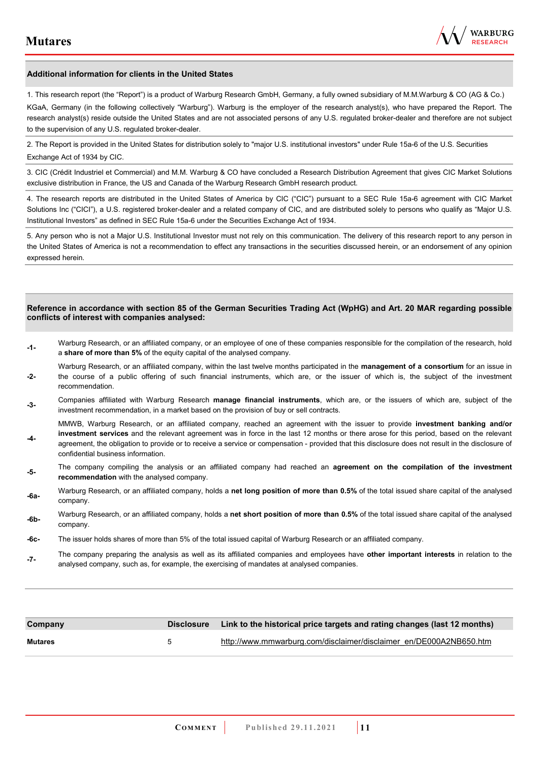

#### **Additional information for clients in the United States**

1. This research report (the "Report") is a product of Warburg Research GmbH, Germany, a fully owned subsidiary of M.M.Warburg & CO (AG & Co.)

KGaA, Germany (in the following collectively "Warburg"). Warburg is the employer of the research analyst(s), who have prepared the Report. The research analyst(s) reside outside the United States and are not associated persons of any U.S. regulated broker-dealer and therefore are not subject to the supervision of any U.S. regulated broker-dealer.

2. The Report is provided in the United States for distribution solely to "major U.S. institutional investors" under Rule 15a-6 of the U.S. Securities Exchange Act of 1934 by CIC.

3. CIC (Crédit Industriel et Commercial) and M.M. Warburg & CO have concluded a Research Distribution Agreement that gives CIC Market Solutions exclusive distribution in France, the US and Canada of the Warburg Research GmbH research product.

4. The research reports are distributed in the United States of America by CIC ("CIC") pursuant to a SEC Rule 15a-6 agreement with CIC Market Solutions Inc ("CICI"), a U.S. registered broker-dealer and a related company of CIC, and are distributed solely to persons who qualify as "Major U.S. Institutional Investors" as defined in SEC Rule 15a-6 under the Securities Exchange Act of 1934.

5. Any person who is not a Major U.S. Institutional Investor must not rely on this communication. The delivery of this research report to any person in the United States of America is not a recommendation to effect any transactions in the securities discussed herein, or an endorsement of any opinion expressed herein.

#### **Reference in accordance with section 85 of the German Securities Trading Act (WpHG) and Art. 20 MAR regarding possible conflicts of interest with companies analysed:**

- **-1-** Warburg Research, or an affiliated company, or an employee of one of these companies responsible for the compilation of the research, hold a **share of more than 5%** of the equity capital of the analysed company.
- **-2-**  Warburg Research, or an affiliated company, within the last twelve months participated in the **management of a consortium** for an issue in the course of a public offering of such financial instruments, which are, or the issuer of which is, the subject of the investment recommendation.
- **-3-** Companies affiliated with Warburg Research **manage financial instruments**, which are, or the issuers of which are, subject of the investment recommendation, in a market based on the provision of buy or sell contracts.

MMWB, Warburg Research, or an affiliated company, reached an agreement with the issuer to provide **investment banking and/or investment services** and the relevant agreement was in force in the last 12 months or there arose for this period, based on the relevant

- **-4**  agreement, the obligation to provide or to receive a service or compensation - provided that this disclosure does not result in the disclosure of confidential business information.
- **-5-** The company compiling the analysis or an affiliated company had reached an **agreement on the compilation of the investment recommendation** with the analysed company.
- **-6a-** Warburg Research, or an affiliated company, holds a **net long position of more than 0.5%** of the total issued share capital of the analysed company.
- **-6b-** Warburg Research, or an affiliated company, holds a **net short position of more than 0.5%** of the total issued share capital of the analysed company.
- **-6c-** The issuer holds shares of more than 5% of the total issued capital of Warburg Research or an affiliated company.
- **-7-** The company preparing the analysis as well as its affiliated companies and employees have **other important interests** in relation to the analysed company, such as, for example, the exercising of mandates at analysed companies.

| Company        |   | Disclosure Link to the historical price targets and rating changes (last 12 months) |
|----------------|---|-------------------------------------------------------------------------------------|
| <b>Mutares</b> | 5 | http://www.mmwarburg.com/disclaimer/disclaimer_en/DE000A2NB650.htm                  |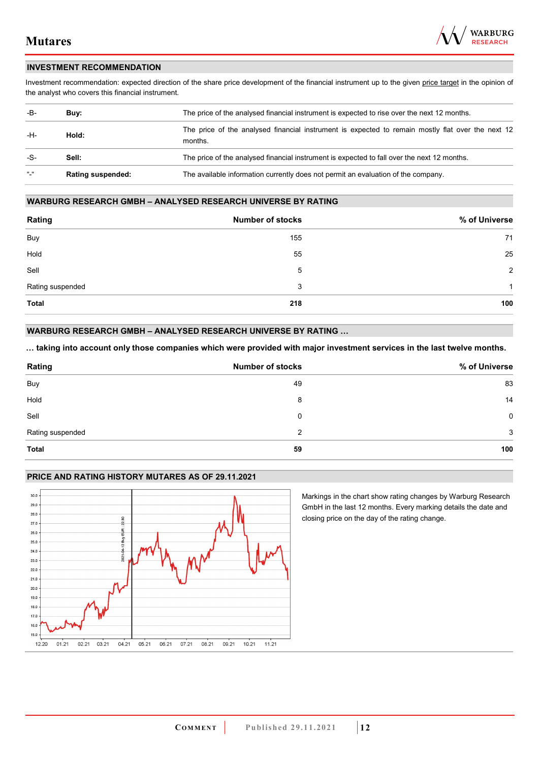

#### **INVESTMENT RECOMMENDATION**

Investment recommendation: expected direction of the share price development of the financial instrument up to the given price target in the opinion of the analyst who covers this financial instrument.

| -B-             | Buy:                     | The price of the analysed financial instrument is expected to rise over the next 12 months.                  |
|-----------------|--------------------------|--------------------------------------------------------------------------------------------------------------|
| -H-             | Hold:                    | The price of the analysed financial instrument is expected to remain mostly flat over the next 12<br>months. |
| -S-             | Sell:                    | The price of the analysed financial instrument is expected to fall over the next 12 months.                  |
| $\frac{16}{16}$ | <b>Rating suspended:</b> | The available information currently does not permit an evaluation of the company.                            |

#### **WARBURG RESEARCH GMBH – ANALYSED RESEARCH UNIVERSE BY RATING**

| Rating           | <b>Number of stocks</b> | % of Universe  |
|------------------|-------------------------|----------------|
| Buy              | 155                     | 71             |
| Hold             | 55                      | 25             |
| Sell             | 5                       | $\overline{2}$ |
| Rating suspended | 3                       | 1              |
| <b>Total</b>     | 218                     | 100            |

### **WARBURG RESEARCH GMBH – ANALYSED RESEARCH UNIVERSE BY RATING …**

**… taking into account only those companies which were provided with major investment services in the last twelve months.** 

| Rating           | <b>Number of stocks</b> | % of Universe |
|------------------|-------------------------|---------------|
| Buy              | 49                      | 83            |
| Hold             | 8                       | 14            |
| Sell             | 0                       | $\mathbf 0$   |
| Rating suspended | 2                       | 3             |
| <b>Total</b>     | 59                      | 100           |

### **PRICE AND RATING HISTORY MUTARES AS OF 29.11.2021**



Markings in the chart show rating changes by Warburg Research GmbH in the last 12 months. Every marking details the date and closing price on the day of the rating change.